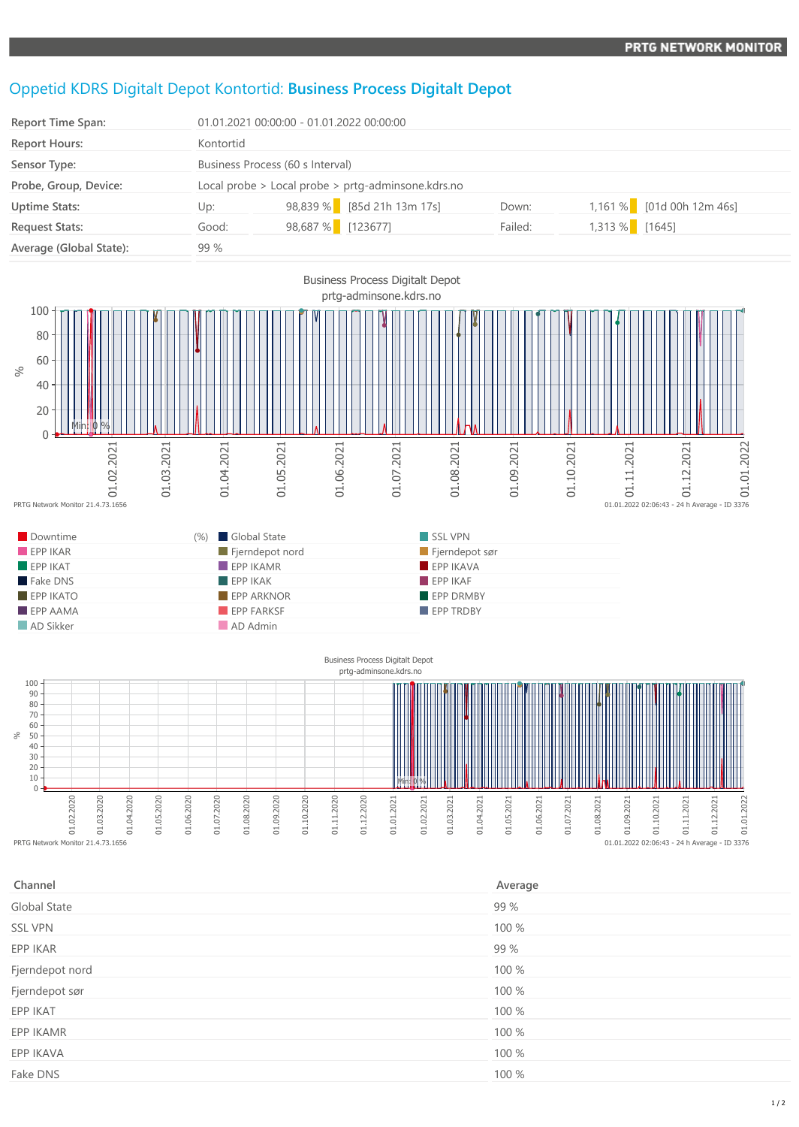## Oppetid KDRS Digitalt Depot Kontortid: **Business Process Digitalt Depot**

| <b>Report Time Span:</b> |           | 01.01.2021 00:00:00 - 01.01.2022 00:00:00          |         |                             |  |  |
|--------------------------|-----------|----------------------------------------------------|---------|-----------------------------|--|--|
| <b>Report Hours:</b>     | Kontortid |                                                    |         |                             |  |  |
| Sensor Type:             |           | Business Process (60 s Interval)                   |         |                             |  |  |
| Probe, Group, Device:    |           | Local probe > Local probe > prtg-adminsone.kdrs.no |         |                             |  |  |
| <b>Uptime Stats:</b>     | Up:       | 98,839 % [85d 21h 13m 17s]                         | Down:   | $1,161\%$ [01d 00h 12m 46s] |  |  |
| <b>Request Stats:</b>    | Good:     | 98,687 % [123677]                                  | Failed: | 1,313 % [1645]              |  |  |
| Average (Global State):  | 99 %      |                                                    |         |                             |  |  |



 $\sqrt{2}$  $\begin{bmatrix} 8 & 8 & 8 \\ 8 & 10 & 10 \\ 10 & 10 & 10 \\ 10 & 10 & 10 \\ 11 & 11 & 11 \\ 12 & 13 & 135 \\ 13 & 14 & 13 & 135 \\ 14 & 15 & 16 & 13 \\ 16 & 17 & 18 & 13 \\ 18 & 18 & 19 & 13 \\ 19 & 19 & 19 & 13 \\ 10 & 10 & 10 & 13 \\ 10 & 10 & 10 & 13 \\ 11 & 10 & 10 & 13 & 13 \\ 12 & 10 & 10 &$ 01.03.2020 01.04.2020 01.05.2020 01.06.2020 01.07.2020 01.08.2020 01.09.2020 01.10.2020 01.11.2020 01.12.2020 01.01.2021 01.02.2021 01.03.2021 01.04.2021 01.05.2021 Min: 0 %

| Channel         | Average |
|-----------------|---------|
| Global State    | 99 %    |
| <b>SSL VPN</b>  | 100 %   |
| EPP IKAR        | 99 %    |
| Fjerndepot nord | 100 %   |
| Fjerndepot sør  | 100 %   |
| EPP IKAT        | 100 %   |
| EPP IKAMR       | 100 %   |
| EPP IKAVA       | 100 %   |
| Fake DNS        | 100 %   |
|                 |         |

01.06.2021

01.07.2021

01.08.2021

01.09.2021

01.10.2021

01.11.2021

 $01.01.2022$   $02:06:43 - 24$  h Average - ID 3376

01.12.2021

01.01.2022